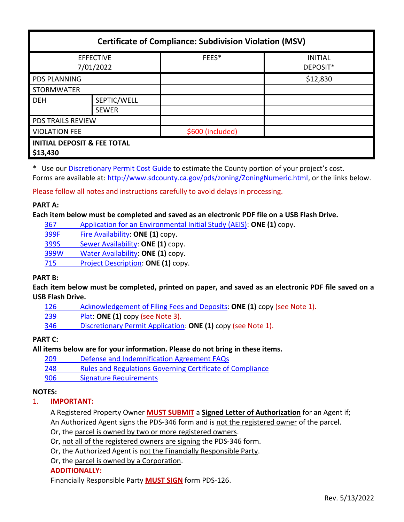| <b>Certificate of Compliance: Subdivision Violation (MSV)</b> |              |                  |                            |
|---------------------------------------------------------------|--------------|------------------|----------------------------|
| <b>EFFECTIVE</b><br>7/01/2022                                 |              | FEES*            | <b>INITIAL</b><br>DEPOSIT* |
| <b>PDS PLANNING</b>                                           |              |                  | \$12,830                   |
| <b>STORMWATER</b>                                             |              |                  |                            |
| <b>DEH</b>                                                    | SEPTIC/WELL  |                  |                            |
|                                                               | <b>SEWER</b> |                  |                            |
| <b>PDS TRAILS REVIEW</b>                                      |              |                  |                            |
| <b>VIOLATION FEE</b>                                          |              | \$600 (included) |                            |
| <b>INITIAL DEPOSIT &amp; FEE TOTAL</b><br>\$13,430            |              |                  |                            |

\* Use ou[r Discretionary Permit Cost Guide](http://www.sandiegocounty.gov/content/dam/sdc/pds/docs/Discretionary_Permit_Cost_Guide.xlsx) to estimate the County portion of your project's cost. Forms are available at[: http://www.sdcounty.ca.gov/pds/zoning/ZoningNumeric.html,](http://www.sdcounty.ca.gov/pds/zoning/ZoningNumeric.html) or the links below.

Please follow all notes and instructions carefully to avoid delays in processing.

## **PART A:**

**Each item below must be completed and saved as an electronic PDF file on a USB Flash Drive.**

367 [Application for an Environmental Initial Study \(AEIS\):](http://www.sdcounty.ca.gov/pds/zoning/formfields/PDS-PLN-367.pdf) **ONE (1)** copy.

[399F Fire Availability:](http://www.sdcounty.ca.gov/pds/zoning/formfields/PDS-PLN-399F.pdf) **ONE (1)** copy.

399S [Sewer Availability:](http://www.sdcounty.ca.gov/pds/zoning/formfields/PDS-PLN-399S.pdf) **ONE (1)** copy.

[399W Water Availability:](http://www.sdcounty.ca.gov/pds/zoning/formfields/PDS-PLN-399W.pdf) **ONE (1)** copy.

715 [Project Description:](http://www.sdcounty.ca.gov/pds/zoning/formfields/PDS-PLN-715.pdf) **ONE (1)** copy.

## **PART B:**

**Each item below must be completed, printed on paper, and saved as an electronic PDF file saved on a USB Flash Drive.**

[126 Acknowledgement of Filing Fees and Deposits:](http://www.sdcounty.ca.gov/pds/zoning/formfields/PDS-PLN-126.pdf) **ONE (1)** copy (see Note 1).

239 [Plat:](http://www.sdcounty.ca.gov/pds/zoning/formfields/PDS-239.pdf) **ONE (1)** copy (see Note 3).

346 [Discretionary Permit Application:](http://www.sdcounty.ca.gov/pds/zoning/formfields/PDS-PLN-346.pdf) **ONE (1)** copy (see Note 1).

# **PART C:**

**All items below are for your information. Please do not bring in these items.**

209 [Defense and Indemnification Agreement FAQs](http://www.sdcounty.ca.gov/pds/zoning/formfields/PDS-PLN-209.pdf)

248 [Rules and Regulations Governing Certificate of Compliance](http://www.sdcounty.ca.gov/pds/zoning/formfields/PDS-PLN-248.pdf)

[906 Signature Requirements](http://www.sdcounty.ca.gov/pds/zoning/formfields/PDS-PLN-906.pdf)

## **NOTES:**

# 1. **IMPORTANT:**

A Registered Property Owner **MUST SUBMIT** a **Signed Letter of Authorization** for an Agent if; An Authorized Agent signs the PDS-346 form and is not the registered owner of the parcel.

Or, the parcel is owned by two or more registered owners.

Or, not all of the registered owners are signing the PDS-346 form.

Or, the Authorized Agent is not the Financially Responsible Party.

Or, the parcel is owned by a Corporation.

## **ADDITIONALLY:**

Financially Responsible Party **MUST SIGN** form PDS-126.